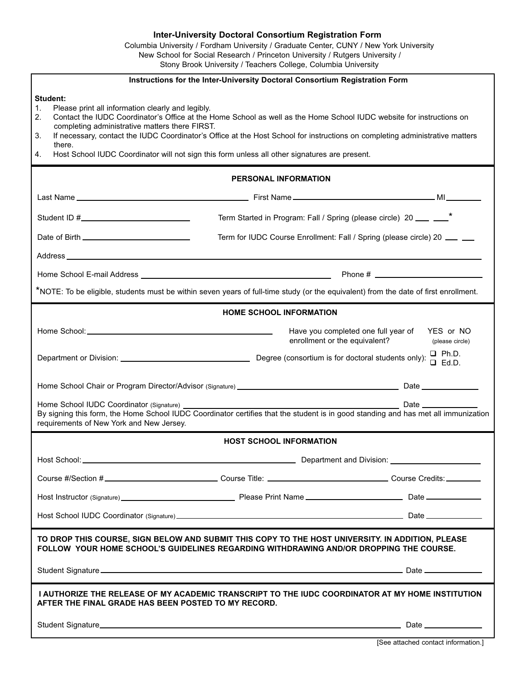#### **Inter-University Doctoral Consortium Registration Form**

Columbia University / Fordham University / Graduate Center, CUNY / New York University New School for Social Research / Princeton University / Rutgers University / Stony Brook University / Teachers College, Columbia University

| Instructions for the Inter-University Doctoral Consortium Registration Form                                                                                                                                                                                                                                                                                                                                                                                                                                                   |                              |
|-------------------------------------------------------------------------------------------------------------------------------------------------------------------------------------------------------------------------------------------------------------------------------------------------------------------------------------------------------------------------------------------------------------------------------------------------------------------------------------------------------------------------------|------------------------------|
| <b>Student:</b><br>$\mathbf{1}$ .<br>Please print all information clearly and legibly.<br>Contact the IUDC Coordinator's Office at the Home School as well as the Home School IUDC website for instructions on<br>2.<br>completing administrative matters there FIRST.<br>If necessary, contact the IUDC Coordinator's Office at the Host School for instructions on completing administrative matters<br>3.<br>there.<br>Host School IUDC Coordinator will not sign this form unless all other signatures are present.<br>4. |                              |
| PERSONAL INFORMATION                                                                                                                                                                                                                                                                                                                                                                                                                                                                                                          |                              |
|                                                                                                                                                                                                                                                                                                                                                                                                                                                                                                                               |                              |
| Term Started in Program: Fall / Spring (please circle) 20 ___ __*                                                                                                                                                                                                                                                                                                                                                                                                                                                             |                              |
| Term for IUDC Course Enrollment: Fall / Spring (please circle) 20 __ _                                                                                                                                                                                                                                                                                                                                                                                                                                                        |                              |
|                                                                                                                                                                                                                                                                                                                                                                                                                                                                                                                               |                              |
|                                                                                                                                                                                                                                                                                                                                                                                                                                                                                                                               |                              |
| *NOTE: To be eligible, students must be within seven years of full-time study (or the equivalent) from the date of first enrollment.                                                                                                                                                                                                                                                                                                                                                                                          |                              |
| <b>HOME SCHOOL INFORMATION</b>                                                                                                                                                                                                                                                                                                                                                                                                                                                                                                |                              |
| Have you completed one full year of YES or NO<br>enrollment or the equivalent?                                                                                                                                                                                                                                                                                                                                                                                                                                                | (please circle)              |
|                                                                                                                                                                                                                                                                                                                                                                                                                                                                                                                               | $\Box$ Ph.D.<br>$\Box$ Ed.D. |
|                                                                                                                                                                                                                                                                                                                                                                                                                                                                                                                               |                              |
| Home School IUDC Coordinator (Signature) _<br>By signing this form, the Home School IUDC Coordinator certifies that the student is in good standing and has met all immunization<br>requirements of New York and New Jersey.                                                                                                                                                                                                                                                                                                  |                              |
| <b>HOST SCHOOL INFORMATION</b>                                                                                                                                                                                                                                                                                                                                                                                                                                                                                                |                              |
|                                                                                                                                                                                                                                                                                                                                                                                                                                                                                                                               |                              |
| Course #/Section #_________________________________Course Title: ___________________________________ Course Credits: __________                                                                                                                                                                                                                                                                                                                                                                                               |                              |
|                                                                                                                                                                                                                                                                                                                                                                                                                                                                                                                               |                              |
|                                                                                                                                                                                                                                                                                                                                                                                                                                                                                                                               |                              |
| TO DROP THIS COURSE, SIGN BELOW AND SUBMIT THIS COPY TO THE HOST UNIVERSITY. IN ADDITION, PLEASE<br>FOLLOW YOUR HOME SCHOOL'S GUIDELINES REGARDING WITHDRAWING AND/OR DROPPING THE COURSE.                                                                                                                                                                                                                                                                                                                                    |                              |
|                                                                                                                                                                                                                                                                                                                                                                                                                                                                                                                               |                              |
| I AUTHORIZE THE RELEASE OF MY ACADEMIC TRANSCRIPT TO THE IUDC COORDINATOR AT MY HOME INSTITUTION<br>AFTER THE FINAL GRADE HAS BEEN POSTED TO MY RECORD.                                                                                                                                                                                                                                                                                                                                                                       |                              |
|                                                                                                                                                                                                                                                                                                                                                                                                                                                                                                                               | Date ______________          |

[See attached contact information.]